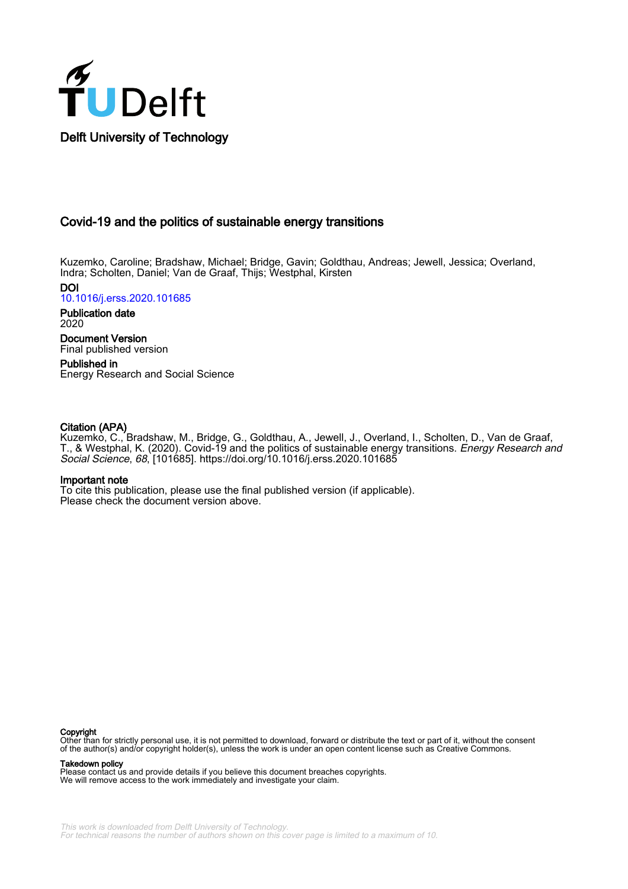

# Covid-19 and the politics of sustainable energy transitions

Kuzemko, Caroline; Bradshaw, Michael; Bridge, Gavin; Goldthau, Andreas; Jewell, Jessica; Overland, Indra; Scholten, Daniel; Van de Graaf, Thijs; Westphal, Kirsten

DOI [10.1016/j.erss.2020.101685](https://doi.org/10.1016/j.erss.2020.101685)

Publication date 2020

Document Version Final published version

Published in Energy Research and Social Science

# Citation (APA)

Kuzemko, C., Bradshaw, M., Bridge, G., Goldthau, A., Jewell, J., Overland, I., Scholten, D., Van de Graaf, T., & Westphal, K. (2020). Covid-19 and the politics of sustainable energy transitions. Energy Research and Social Science, 68, [101685].<https://doi.org/10.1016/j.erss.2020.101685>

# Important note

To cite this publication, please use the final published version (if applicable). Please check the document version above.

# **Copyright**

Other than for strictly personal use, it is not permitted to download, forward or distribute the text or part of it, without the consent of the author(s) and/or copyright holder(s), unless the work is under an open content license such as Creative Commons.

# Takedown policy

Please contact us and provide details if you believe this document breaches copyrights. We will remove access to the work immediately and investigate your claim.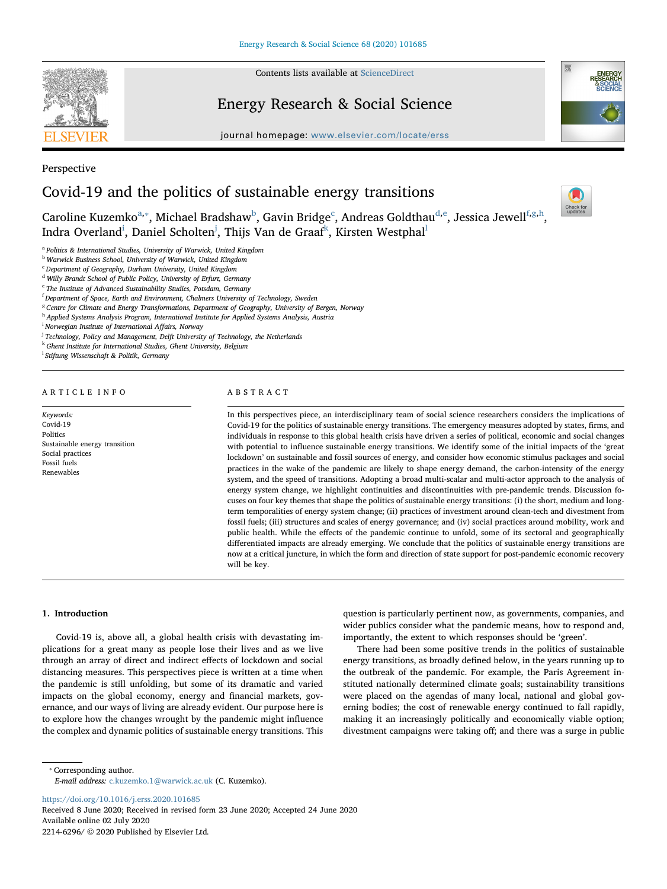

Perspective

Contents lists available at [ScienceDirect](http://www.sciencedirect.com/science/journal/22146296)

# Energy Research & Social Science



journal homepage: [www.elsevier.com/locate/erss](https://www.elsevier.com/locate/erss)

# Covid-19 and the politics of sustainable energy transitions

Check for<br>updates

Carolin[e](#page-1-5) Kuzemko $^\text{a, *},$  $^\text{a, *},$  $^\text{a, *},$  Mi[c](#page-1-3)hael Bra[d](#page-1-4)shaw $^\text{b}$  $^\text{b}$  $^\text{b}$ , Gavin Brid[g](#page-1-7)e $^\text{c}$ , Andreas Goldthau $^\text{d, e}$ , Jessica Jewell $^\text{f, g, h}$  $^\text{f, g, h}$  $^\text{f, g, h}$ , Indra Overland<sup>[i](#page-1-9)</sup>, Daniel Scholten<sup>[j](#page-1-10)</sup>, Thijs Van de Graaf<sup>k</sup>, Kirsten Westpha[l](#page-1-12)<sup>l</sup>

<span id="page-1-0"></span><sup>a</sup> Politics & International Studies, University of Warwick, United Kingdom

<span id="page-1-2"></span><sup>b</sup> Warwick Business School, University of Warwick, United Kingdom

<span id="page-1-3"></span><sup>c</sup> Department of Geography, Durham University, United Kingdom

<span id="page-1-4"></span><sup>d</sup> Willy Brandt School of Public Policy, University of Erfurt, Germany

<span id="page-1-5"></span><sup>e</sup> The Institute of Advanced Sustainability Studies, Potsdam, Germany

<span id="page-1-6"></span><sup>f</sup> Department of Space, Earth and Environment, Chalmers University of Technology, Sweden

<span id="page-1-7"></span><sup>g</sup> Centre for Climate and Energy Transformations, Department of Geography, University of Bergen, Norway

<span id="page-1-8"></span>h Applied Systems Analysis Program, International Institute for Applied Systems Analysis, Austria

<span id="page-1-9"></span><sup>i</sup> Norwegian Institute of International Affairs, Norway

<span id="page-1-10"></span><sup>j</sup> Technology, Policy and Management, Delft University of Technology, the Netherlands

<span id="page-1-11"></span>k Ghent Institute for International Studies, Ghent University, Belgium

<span id="page-1-12"></span>l Stiftung Wissenschaft & Politik, Germany

#### ARTICLE INFO

Keywords: Covid-19 Politics Sustainable energy transition Social practices Fossil fuels Renewables

#### ABSTRACT

In this perspectives piece, an interdisciplinary team of social science researchers considers the implications of Covid-19 for the politics of sustainable energy transitions. The emergency measures adopted by states, firms, and individuals in response to this global health crisis have driven a series of political, economic and social changes with potential to influence sustainable energy transitions. We identify some of the initial impacts of the 'great lockdown' on sustainable and fossil sources of energy, and consider how economic stimulus packages and social practices in the wake of the pandemic are likely to shape energy demand, the carbon-intensity of the energy system, and the speed of transitions. Adopting a broad multi-scalar and multi-actor approach to the analysis of energy system change, we highlight continuities and discontinuities with pre-pandemic trends. Discussion focuses on four key themes that shape the politics of sustainable energy transitions: (i) the short, medium and longterm temporalities of energy system change; (ii) practices of investment around clean-tech and divestment from fossil fuels; (iii) structures and scales of energy governance; and (iv) social practices around mobility, work and public health. While the effects of the pandemic continue to unfold, some of its sectoral and geographically differentiated impacts are already emerging. We conclude that the politics of sustainable energy transitions are now at a critical juncture, in which the form and direction of state support for post-pandemic economic recovery will be key.

### 1. Introduction

Covid-19 is, above all, a global health crisis with devastating implications for a great many as people lose their lives and as we live through an array of direct and indirect effects of lockdown and social distancing measures. This perspectives piece is written at a time when the pandemic is still unfolding, but some of its dramatic and varied impacts on the global economy, energy and financial markets, governance, and our ways of living are already evident. Our purpose here is to explore how the changes wrought by the pandemic might influence the complex and dynamic politics of sustainable energy transitions. This

question is particularly pertinent now, as governments, companies, and wider publics consider what the pandemic means, how to respond and, importantly, the extent to which responses should be 'green'.

There had been some positive trends in the politics of sustainable energy transitions, as broadly defined below, in the years running up to the outbreak of the pandemic. For example, the Paris Agreement instituted nationally determined climate goals; sustainability transitions were placed on the agendas of many local, national and global governing bodies; the cost of renewable energy continued to fall rapidly, making it an increasingly politically and economically viable option; divestment campaigns were taking off; and there was a surge in public

<span id="page-1-1"></span>⁎ Corresponding author. E-mail address: [c.kuzemko.1@warwick.ac.uk](mailto:c.kuzemko.1@warwick.ac.uk) (C. Kuzemko).

<https://doi.org/10.1016/j.erss.2020.101685>

Received 8 June 2020; Received in revised form 23 June 2020; Accepted 24 June 2020 Available online 02 July 2020 2214-6296/ © 2020 Published by Elsevier Ltd.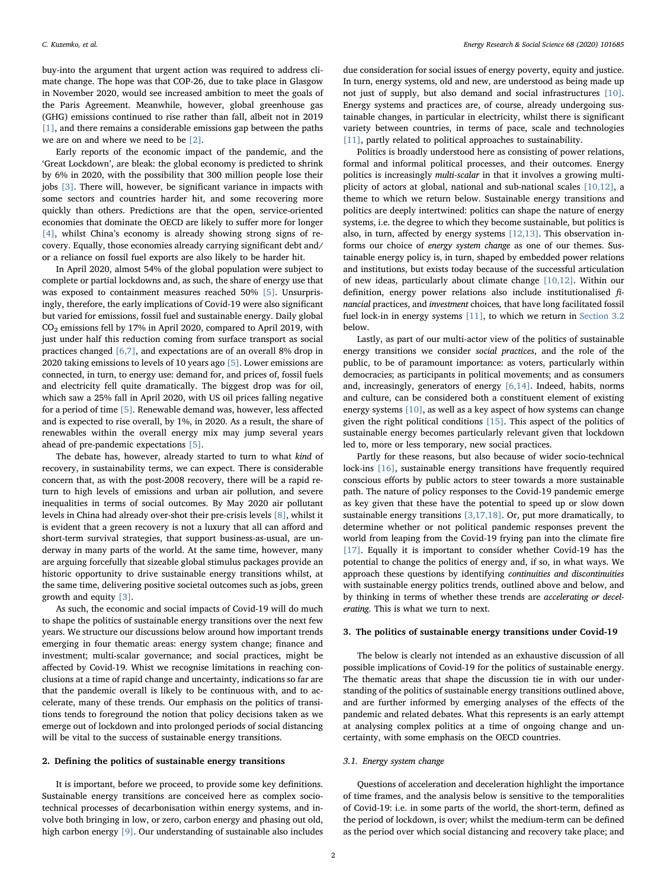buy-into the argument that urgent action was required to address climate change. The hope was that COP-26, due to take place in Glasgow in November 2020, would see increased ambition to meet the goals of the Paris Agreement. Meanwhile, however, global greenhouse gas (GHG) emissions continued to rise rather than fall, albeit not in 2019 [\[1\],](#page-6-0) and there remains a considerable emissions gap between the paths we are on and where we need to be [\[2\]](#page-6-1).

Early reports of the economic impact of the pandemic, and the 'Great Lockdown', are bleak: the global economy is predicted to shrink by 6% in 2020, with the possibility that 300 million people lose their jobs [\[3\]](#page-6-2). There will, however, be significant variance in impacts with some sectors and countries harder hit, and some recovering more quickly than others. Predictions are that the open, service-oriented economies that dominate the OECD are likely to suffer more for longer [\[4\],](#page-6-3) whilst China's economy is already showing strong signs of recovery. Equally, those economies already carrying significant debt and/ or a reliance on fossil fuel exports are also likely to be harder hit.

In April 2020, almost 54% of the global population were subject to complete or partial lockdowns and, as such, the share of energy use that was exposed to containment measures reached 50% [\[5\].](#page-6-4) Unsurprisingly, therefore, the early implications of Covid-19 were also significant but varied for emissions, fossil fuel and sustainable energy. Daily global CO2 emissions fell by 17% in April 2020, compared to April 2019, with just under half this reduction coming from surface transport as social practices changed [\[6,7\]](#page-6-5), and expectations are of an overall 8% drop in 2020 taking emissions to levels of 10 years ago [\[5\].](#page-6-4) Lower emissions are connected, in turn, to energy use: demand for, and prices of, fossil fuels and electricity fell quite dramatically. The biggest drop was for oil, which saw a 25% fall in April 2020, with US oil prices falling negative for a period of time [\[5\].](#page-6-4) Renewable demand was, however, less affected and is expected to rise overall, by 1%, in 2020. As a result, the share of renewables within the overall energy mix may jump several years ahead of pre-pandemic expectations [\[5\].](#page-6-4)

The debate has, however, already started to turn to what kind of recovery, in sustainability terms, we can expect. There is considerable concern that, as with the post-2008 recovery, there will be a rapid return to high levels of emissions and urban air pollution, and severe inequalities in terms of social outcomes. By May 2020 air pollutant levels in China had already over-shot their pre-crisis levels [\[8\],](#page-6-6) whilst it is evident that a green recovery is not a luxury that all can afford and short-term survival strategies, that support business-as-usual, are underway in many parts of the world. At the same time, however, many are arguing forcefully that sizeable global stimulus packages provide an historic opportunity to drive sustainable energy transitions whilst, at the same time, delivering positive societal outcomes such as jobs, green growth and equity [\[3\]](#page-6-2).

As such, the economic and social impacts of Covid-19 will do much to shape the politics of sustainable energy transitions over the next few years. We structure our discussions below around how important trends emerging in four thematic areas: energy system change; finance and investment; multi-scalar governance; and social practices, might be affected by Covid-19. Whist we recognise limitations in reaching conclusions at a time of rapid change and uncertainty, indications so far are that the pandemic overall is likely to be continuous with, and to accelerate, many of these trends. Our emphasis on the politics of transitions tends to foreground the notion that policy decisions taken as we emerge out of lockdown and into prolonged periods of social distancing will be vital to the success of sustainable energy transitions.

## 2. Defining the politics of sustainable energy transitions

It is important, before we proceed, to provide some key definitions. Sustainable energy transitions are conceived here as complex sociotechnical processes of decarbonisation within energy systems, and involve both bringing in low, or zero, carbon energy and phasing out old, high carbon energy [\[9\]](#page-6-7). Our understanding of sustainable also includes

due consideration for social issues of energy poverty, equity and justice. In turn, energy systems, old and new, are understood as being made up not just of supply, but also demand and social infrastructures [\[10\]](#page-6-8). Energy systems and practices are, of course, already undergoing sustainable changes, in particular in electricity, whilst there is significant variety between countries, in terms of pace, scale and technologies [\[11\]](#page-6-9), partly related to political approaches to sustainability.

Politics is broadly understood here as consisting of power relations, formal and informal political processes, and their outcomes. Energy politics is increasingly multi-scalar in that it involves a growing multiplicity of actors at global, national and sub-national scales [\[10,12\]](#page-6-8), a theme to which we return below. Sustainable energy transitions and politics are deeply intertwined: politics can shape the nature of energy systems, i.e. the degree to which they become sustainable, but politics is also, in turn, affected by energy systems [\[12,13\]](#page-6-10). This observation informs our choice of energy system change as one of our themes. Sustainable energy policy is, in turn, shaped by embedded power relations and institutions, but exists today because of the successful articulation of new ideas, particularly about climate change [\[10,12\]](#page-6-8). Within our definition, energy power relations also include institutionalised financial practices, and investment choices, that have long facilitated fossil fuel lock-in in energy systems [\[11\],](#page-6-9) to which we return in [Section 3.2](#page-3-0) below.

Lastly, as part of our multi-actor view of the politics of sustainable energy transitions we consider social practices, and the role of the public, to be of paramount importance: as voters, particularly within democracies; as participants in political movements; and as consumers and, increasingly, generators of energy [\[6,14\].](#page-6-5) Indeed, habits, norms and culture, can be considered both a constituent element of existing energy systems [\[10\],](#page-6-8) as well as a key aspect of how systems can change given the right political conditions [\[15\]](#page-6-11). This aspect of the politics of sustainable energy becomes particularly relevant given that lockdown led to, more or less temporary, new social practices.

Partly for these reasons, but also because of wider socio-technical lock-ins [\[16\],](#page-6-12) sustainable energy transitions have frequently required conscious efforts by public actors to steer towards a more sustainable path. The nature of policy responses to the Covid-19 pandemic emerge as key given that these have the potential to speed up or slow down sustainable energy transitions  $[3,17,18]$ . Or, put more dramatically, to determine whether or not political pandemic responses prevent the world from leaping from the Covid-19 frying pan into the climate fire [\[17\]](#page-6-13). Equally it is important to consider whether Covid-19 has the potential to change the politics of energy and, if so, in what ways. We approach these questions by identifying continuities and discontinuities with sustainable energy politics trends, outlined above and below, and by thinking in terms of whether these trends are accelerating or decelerating. This is what we turn to next.

#### 3. The politics of sustainable energy transitions under Covid-19

The below is clearly not intended as an exhaustive discussion of all possible implications of Covid-19 for the politics of sustainable energy. The thematic areas that shape the discussion tie in with our understanding of the politics of sustainable energy transitions outlined above, and are further informed by emerging analyses of the effects of the pandemic and related debates. What this represents is an early attempt at analysing complex politics at a time of ongoing change and uncertainty, with some emphasis on the OECD countries.

# 3.1. Energy system change

Questions of acceleration and deceleration highlight the importance of time frames, and the analysis below is sensitive to the temporalities of Covid-19: i.e. in some parts of the world, the short-term, defined as the period of lockdown, is over; whilst the medium-term can be defined as the period over which social distancing and recovery take place; and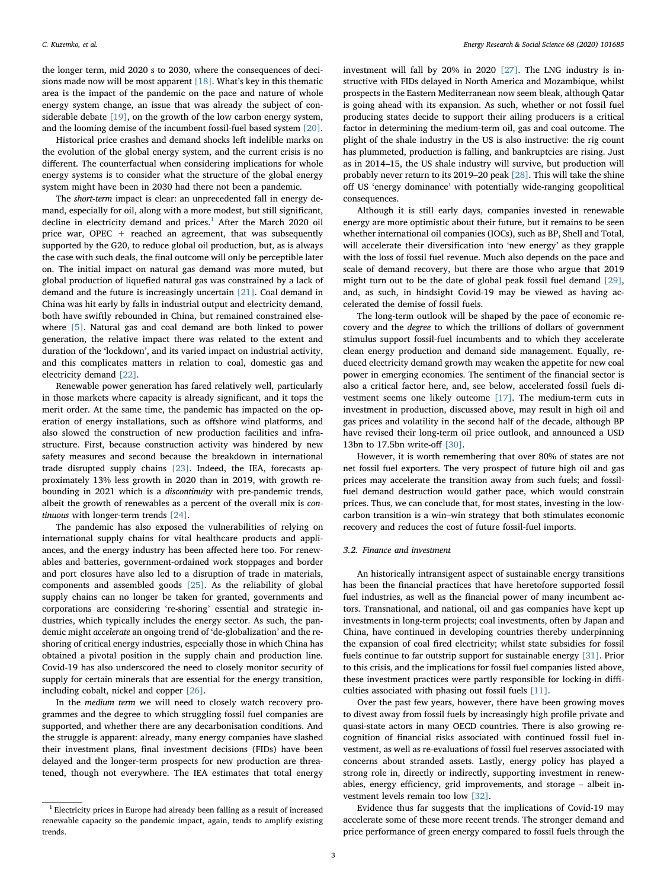the longer term, mid 2020 s to 2030, where the consequences of decisions made now will be most apparent  $[18]$ . What's key in this thematic area is the impact of the pandemic on the pace and nature of whole energy system change, an issue that was already the subject of considerable debate [\[19\],](#page-6-15) on the growth of the low carbon energy system, and the looming demise of the incumbent fossil-fuel based system [\[20\]](#page-6-16).

Historical price crashes and demand shocks left indelible marks on the evolution of the global energy system, and the current crisis is no different. The counterfactual when considering implications for whole energy systems is to consider what the structure of the global energy system might have been in 2030 had there not been a pandemic.

The short-term impact is clear: an unprecedented fall in energy demand, especially for oil, along with a more modest, but still significant, decline in electricity demand and prices. $1$  After the March 2020 oil price war, OPEC + reached an agreement, that was subsequently supported by the G20, to reduce global oil production, but, as is always the case with such deals, the final outcome will only be perceptible later on. The initial impact on natural gas demand was more muted, but global production of liquefied natural gas was constrained by a lack of demand and the future is increasingly uncertain [\[21\].](#page-6-17) Coal demand in China was hit early by falls in industrial output and electricity demand, both have swiftly rebounded in China, but remained constrained elsewhere [\[5\].](#page-6-4) Natural gas and coal demand are both linked to power generation, the relative impact there was related to the extent and duration of the 'lockdown', and its varied impact on industrial activity, and this complicates matters in relation to coal, domestic gas and electricity demand [\[22\]](#page-6-18).

Renewable power generation has fared relatively well, particularly in those markets where capacity is already significant, and it tops the merit order. At the same time, the pandemic has impacted on the operation of energy installations, such as offshore wind platforms, and also slowed the construction of new production facilities and infrastructure. First, because construction activity was hindered by new safety measures and second because the breakdown in international trade disrupted supply chains [\[23\]](#page-6-19). Indeed, the IEA, forecasts approximately 13% less growth in 2020 than in 2019, with growth rebounding in 2021 which is a discontinuity with pre-pandemic trends, albeit the growth of renewables as a percent of the overall mix is continuous with longer-term trends [\[24\]](#page-6-20).

The pandemic has also exposed the vulnerabilities of relying on international supply chains for vital healthcare products and appliances, and the energy industry has been affected here too. For renewables and batteries, government-ordained work stoppages and border and port closures have also led to a disruption of trade in materials, components and assembled goods [\[25\]](#page-6-21). As the reliability of global supply chains can no longer be taken for granted, governments and corporations are considering 're-shoring' essential and strategic industries, which typically includes the energy sector. As such, the pandemic might accelerate an ongoing trend of 'de-globalization' and the reshoring of critical energy industries, especially those in which China has obtained a pivotal position in the supply chain and production line. Covid-19 has also underscored the need to closely monitor security of supply for certain minerals that are essential for the energy transition, including cobalt, nickel and copper [\[26\].](#page-6-22)

In the medium term we will need to closely watch recovery programmes and the degree to which struggling fossil fuel companies are supported, and whether there are any decarbonisation conditions. And the struggle is apparent: already, many energy companies have slashed their investment plans, final investment decisions (FIDs) have been delayed and the longer-term prospects for new production are threatened, though not everywhere. The IEA estimates that total energy

investment will fall by 20% in 2020 [\[27\].](#page-6-23) The LNG industry is instructive with FIDs delayed in North America and Mozambique, whilst prospects in the Eastern Mediterranean now seem bleak, although Qatar is going ahead with its expansion. As such, whether or not fossil fuel producing states decide to support their ailing producers is a critical factor in determining the medium-term oil, gas and coal outcome. The plight of the shale industry in the US is also instructive: the rig count has plummeted, production is falling, and bankruptcies are rising. Just as in 2014–15, the US shale industry will survive, but production will probably never return to its 2019–20 peak [\[28\]](#page-6-24). This will take the shine off US 'energy dominance' with potentially wide-ranging geopolitical consequences.

Although it is still early days, companies invested in renewable energy are more optimistic about their future, but it remains to be seen whether international oil companies (IOCs), such as BP, Shell and Total, will accelerate their diversification into 'new energy' as they grapple with the loss of fossil fuel revenue. Much also depends on the pace and scale of demand recovery, but there are those who argue that 2019 might turn out to be the date of global peak fossil fuel demand [\[29\]](#page-6-25), and, as such, in hindsight Covid-19 may be viewed as having accelerated the demise of fossil fuels.

The long-term outlook will be shaped by the pace of economic recovery and the degree to which the trillions of dollars of government stimulus support fossil-fuel incumbents and to which they accelerate clean energy production and demand side management. Equally, reduced electricity demand growth may weaken the appetite for new coal power in emerging economies. The sentiment of the financial sector is also a critical factor here, and, see below, accelerated fossil fuels divestment seems one likely outcome [\[17\]](#page-6-13). The medium-term cuts in investment in production, discussed above, may result in high oil and gas prices and volatility in the second half of the decade, although BP have revised their long-term oil price outlook, and announced a USD 13bn to 17.5bn write-off [\[30\]](#page-6-26).

However, it is worth remembering that over 80% of states are not net fossil fuel exporters. The very prospect of future high oil and gas prices may accelerate the transition away from such fuels; and fossilfuel demand destruction would gather pace, which would constrain prices. Thus, we can conclude that, for most states, investing in the lowcarbon transition is a win–win strategy that both stimulates economic recovery and reduces the cost of future fossil-fuel imports.

#### <span id="page-3-0"></span>3.2. Finance and investment

An historically intransigent aspect of sustainable energy transitions has been the financial practices that have heretofore supported fossil fuel industries, as well as the financial power of many incumbent actors. Transnational, and national, oil and gas companies have kept up investments in long-term projects; coal investments, often by Japan and China, have continued in developing countries thereby underpinning the expansion of coal fired electricity; whilst state subsidies for fossil fuels continue to far outstrip support for sustainable energy [\[31\]](#page-6-27). Prior to this crisis, and the implications for fossil fuel companies listed above, these investment practices were partly responsible for locking-in difficulties associated with phasing out fossil fuels [\[11\]](#page-6-9).

Over the past few years, however, there have been growing moves to divest away from fossil fuels by increasingly high profile private and quasi-state actors in many OECD countries. There is also growing recognition of financial risks associated with continued fossil fuel investment, as well as re-evaluations of fossil fuel reserves associated with concerns about stranded assets. Lastly, energy policy has played a strong role in, directly or indirectly, supporting investment in renewables, energy efficiency, grid improvements, and storage – albeit investment levels remain too low [\[32\].](#page-6-28)

Evidence thus far suggests that the implications of Covid-19 may accelerate some of these more recent trends. The stronger demand and price performance of green energy compared to fossil fuels through the

<span id="page-3-1"></span><sup>&</sup>lt;sup>1</sup> Electricity prices in Europe had already been falling as a result of increased renewable capacity so the pandemic impact, again, tends to amplify existing trends.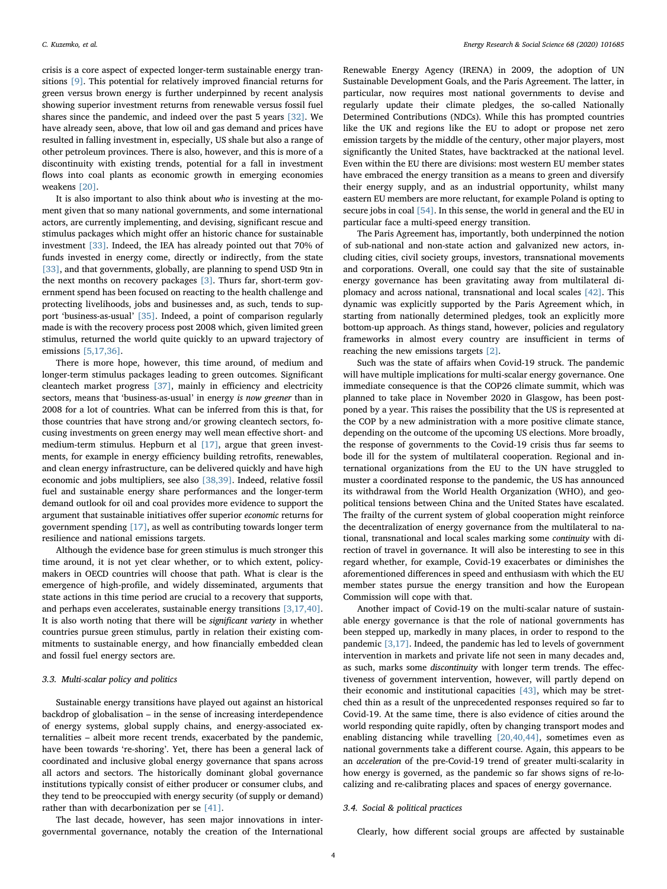crisis is a core aspect of expected longer-term sustainable energy transitions [\[9\]](#page-6-7). This potential for relatively improved financial returns for green versus brown energy is further underpinned by recent analysis showing superior investment returns from renewable versus fossil fuel shares since the pandemic, and indeed over the past 5 years [\[32\]](#page-6-28). We have already seen, above, that low oil and gas demand and prices have resulted in falling investment in, especially, US shale but also a range of other petroleum provinces. There is also, however, and this is more of a discontinuity with existing trends, potential for a fall in investment flows into coal plants as economic growth in emerging economies weakens [\[20\]](#page-6-16).

It is also important to also think about who is investing at the moment given that so many national governments, and some international actors, are currently implementing, and devising, significant rescue and stimulus packages which might offer an historic chance for sustainable investment [\[33\].](#page-6-29) Indeed, the IEA has already pointed out that 70% of funds invested in energy come, directly or indirectly, from the state [\[33\]](#page-6-29), and that governments, globally, are planning to spend USD 9tn in the next months on recovery packages [\[3\]](#page-6-2). Thurs far, short-term government spend has been focused on reacting to the health challenge and protecting livelihoods, jobs and businesses and, as such, tends to support 'business-as-usual' [\[35\].](#page-6-30) Indeed, a point of comparison regularly made is with the recovery process post 2008 which, given limited green stimulus, returned the world quite quickly to an upward trajectory of emissions [\[5,17,36\].](#page-6-4)

There is more hope, however, this time around, of medium and longer-term stimulus packages leading to green outcomes. Significant cleantech market progress [\[37\]](#page-6-31), mainly in efficiency and electricity sectors, means that 'business-as-usual' in energy is now greener than in 2008 for a lot of countries. What can be inferred from this is that, for those countries that have strong and/or growing cleantech sectors, focusing investments on green energy may well mean effective short- and medium-term stimulus. Hepburn et al [\[17\]](#page-6-13), argue that green investments, for example in energy efficiency building retrofits, renewables, and clean energy infrastructure, can be delivered quickly and have high economic and jobs multipliers, see also [\[38,39\]](#page-6-32). Indeed, relative fossil fuel and sustainable energy share performances and the longer-term demand outlook for oil and coal provides more evidence to support the argument that sustainable initiatives offer superior economic returns for government spending [\[17\]](#page-6-13), as well as contributing towards longer term resilience and national emissions targets.

Although the evidence base for green stimulus is much stronger this time around, it is not yet clear whether, or to which extent, policymakers in OECD countries will choose that path. What is clear is the emergence of high-profile, and widely disseminated, arguments that state actions in this time period are crucial to a recovery that supports, and perhaps even accelerates, sustainable energy transitions [\[3,17,40\]](#page-6-2). It is also worth noting that there will be significant variety in whether countries pursue green stimulus, partly in relation their existing commitments to sustainable energy, and how financially embedded clean and fossil fuel energy sectors are.

## 3.3. Multi-scalar policy and politics

Sustainable energy transitions have played out against an historical backdrop of globalisation – in the sense of increasing interdependence of energy systems, global supply chains, and energy-associated externalities – albeit more recent trends, exacerbated by the pandemic, have been towards 're-shoring'. Yet, there has been a general lack of coordinated and inclusive global energy governance that spans across all actors and sectors. The historically dominant global governance institutions typically consist of either producer or consumer clubs, and they tend to be preoccupied with energy security (of supply or demand) rather than with decarbonization per se [\[41\].](#page-7-0)

The last decade, however, has seen major innovations in intergovernmental governance, notably the creation of the International

Renewable Energy Agency (IRENA) in 2009, the adoption of UN Sustainable Development Goals, and the Paris Agreement. The latter, in particular, now requires most national governments to devise and regularly update their climate pledges, the so-called Nationally Determined Contributions (NDCs). While this has prompted countries like the UK and regions like the EU to adopt or propose net zero emission targets by the middle of the century, other major players, most significantly the United States, have backtracked at the national level. Even within the EU there are divisions: most western EU member states have embraced the energy transition as a means to green and diversify their energy supply, and as an industrial opportunity, whilst many eastern EU members are more reluctant, for example Poland is opting to secure jobs in coal [\[54\].](#page-7-1) In this sense, the world in general and the EU in particular face a multi-speed energy transition.

The Paris Agreement has, importantly, both underpinned the notion of sub-national and non-state action and galvanized new actors, including cities, civil society groups, investors, transnational movements and corporations. Overall, one could say that the site of sustainable energy governance has been gravitating away from multilateral diplomacy and across national, transnational and local scales [\[42\].](#page-7-2) This dynamic was explicitly supported by the Paris Agreement which, in starting from nationally determined pledges, took an explicitly more bottom-up approach. As things stand, however, policies and regulatory frameworks in almost every country are insufficient in terms of reaching the new emissions targets [\[2\]](#page-6-1).

Such was the state of affairs when Covid-19 struck. The pandemic will have multiple implications for multi-scalar energy governance. One immediate consequence is that the COP26 climate summit, which was planned to take place in November 2020 in Glasgow, has been postponed by a year. This raises the possibility that the US is represented at the COP by a new administration with a more positive climate stance, depending on the outcome of the upcoming US elections. More broadly, the response of governments to the Covid-19 crisis thus far seems to bode ill for the system of multilateral cooperation. Regional and international organizations from the EU to the UN have struggled to muster a coordinated response to the pandemic, the US has announced its withdrawal from the World Health Organization (WHO), and geopolitical tensions between China and the United States have escalated. The frailty of the current system of global cooperation might reinforce the decentralization of energy governance from the multilateral to national, transnational and local scales marking some continuity with direction of travel in governance. It will also be interesting to see in this regard whether, for example, Covid-19 exacerbates or diminishes the aforementioned differences in speed and enthusiasm with which the EU member states pursue the energy transition and how the European Commission will cope with that.

Another impact of Covid-19 on the multi-scalar nature of sustainable energy governance is that the role of national governments has been stepped up, markedly in many places, in order to respond to the pandemic [\[3,17\].](#page-6-2) Indeed, the pandemic has led to levels of government intervention in markets and private life not seen in many decades and, as such, marks some discontinuity with longer term trends. The effectiveness of government intervention, however, will partly depend on their economic and institutional capacities [\[43\]](#page-7-3), which may be stretched thin as a result of the unprecedented responses required so far to Covid-19. At the same time, there is also evidence of cities around the world responding quite rapidly, often by changing transport modes and enabling distancing while travelling [\[20,40,44\],](#page-6-16) sometimes even as national governments take a different course. Again, this appears to be an acceleration of the pre-Covid-19 trend of greater multi-scalarity in how energy is governed, as the pandemic so far shows signs of re-localizing and re-calibrating places and spaces of energy governance.

#### 3.4. Social & political practices

Clearly, how different social groups are affected by sustainable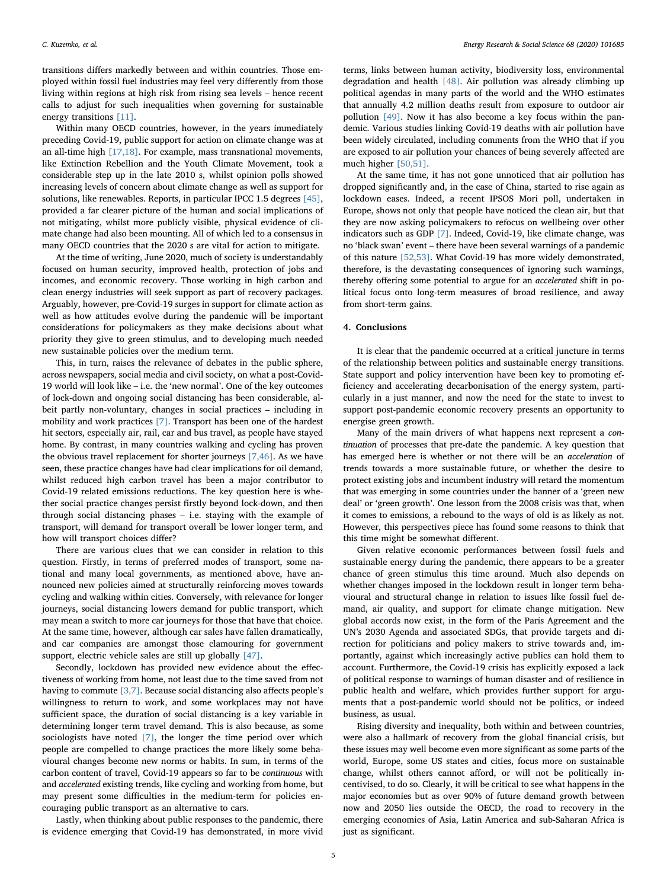transitions differs markedly between and within countries. Those employed within fossil fuel industries may feel very differently from those living within regions at high risk from rising sea levels – hence recent calls to adjust for such inequalities when governing for sustainable energy transitions [\[11\].](#page-6-9)

Within many OECD countries, however, in the years immediately preceding Covid-19, public support for action on climate change was at an all-time high [\[17,18\].](#page-6-13) For example, mass transnational movements, like Extinction Rebellion and the Youth Climate Movement, took a considerable step up in the late 2010 s, whilst opinion polls showed increasing levels of concern about climate change as well as support for solutions, like renewables. Reports, in particular IPCC 1.5 degrees [\[45\]](#page-7-4), provided a far clearer picture of the human and social implications of not mitigating, whilst more publicly visible, physical evidence of climate change had also been mounting. All of which led to a consensus in many OECD countries that the 2020 s are vital for action to mitigate.

At the time of writing, June 2020, much of society is understandably focused on human security, improved health, protection of jobs and incomes, and economic recovery. Those working in high carbon and clean energy industries will seek support as part of recovery packages. Arguably, however, pre-Covid-19 surges in support for climate action as well as how attitudes evolve during the pandemic will be important considerations for policymakers as they make decisions about what priority they give to green stimulus, and to developing much needed new sustainable policies over the medium term.

This, in turn, raises the relevance of debates in the public sphere, across newspapers, social media and civil society, on what a post-Covid-19 world will look like – i.e. the 'new normal'. One of the key outcomes of lock-down and ongoing social distancing has been considerable, albeit partly non-voluntary, changes in social practices – including in mobility and work practices [\[7\]](#page-6-33). Transport has been one of the hardest hit sectors, especially air, rail, car and bus travel, as people have stayed home. By contrast, in many countries walking and cycling has proven the obvious travel replacement for shorter journeys [\[7,46\].](#page-6-33) As we have seen, these practice changes have had clear implications for oil demand, whilst reduced high carbon travel has been a major contributor to Covid-19 related emissions reductions. The key question here is whether social practice changes persist firstly beyond lock-down, and then through social distancing phases – i.e. staying with the example of transport, will demand for transport overall be lower longer term, and how will transport choices differ?

There are various clues that we can consider in relation to this question. Firstly, in terms of preferred modes of transport, some national and many local governments, as mentioned above, have announced new policies aimed at structurally reinforcing moves towards cycling and walking within cities. Conversely, with relevance for longer journeys, social distancing lowers demand for public transport, which may mean a switch to more car journeys for those that have that choice. At the same time, however, although car sales have fallen dramatically, and car companies are amongst those clamouring for government support, electric vehicle sales are still up globally [\[47\].](#page-7-5)

Secondly, lockdown has provided new evidence about the effectiveness of working from home, not least due to the time saved from not having to commute [\[3,7\]](#page-6-2). Because social distancing also affects people's willingness to return to work, and some workplaces may not have sufficient space, the duration of social distancing is a key variable in determining longer term travel demand. This is also because, as some sociologists have noted [\[7\],](#page-6-33) the longer the time period over which people are compelled to change practices the more likely some behavioural changes become new norms or habits. In sum, in terms of the carbon content of travel, Covid-19 appears so far to be continuous with and accelerated existing trends, like cycling and working from home, but may present some difficulties in the medium-term for policies encouraging public transport as an alternative to cars.

Lastly, when thinking about public responses to the pandemic, there is evidence emerging that Covid-19 has demonstrated, in more vivid

terms, links between human activity, biodiversity loss, environmental degradation and health [\[48\].](#page-7-6) Air pollution was already climbing up political agendas in many parts of the world and the WHO estimates that annually 4.2 million deaths result from exposure to outdoor air pollution [\[49\].](#page-7-7) Now it has also become a key focus within the pandemic. Various studies linking Covid-19 deaths with air pollution have been widely circulated, including comments from the WHO that if you are exposed to air pollution your chances of being severely affected are much higher [\[50,51\]](#page-7-8).

At the same time, it has not gone unnoticed that air pollution has dropped significantly and, in the case of China, started to rise again as lockdown eases. Indeed, a recent IPSOS Mori poll, undertaken in Europe, shows not only that people have noticed the clean air, but that they are now asking policymakers to refocus on wellbeing over other indicators such as GDP [\[7\]](#page-6-33). Indeed, Covid-19, like climate change, was no 'black swan' event – there have been several warnings of a pandemic of this nature [\[52,53\]](#page-7-9). What Covid-19 has more widely demonstrated, therefore, is the devastating consequences of ignoring such warnings, thereby offering some potential to argue for an accelerated shift in political focus onto long-term measures of broad resilience, and away from short-term gains.

## 4. Conclusions

It is clear that the pandemic occurred at a critical juncture in terms of the relationship between politics and sustainable energy transitions. State support and policy intervention have been key to promoting efficiency and accelerating decarbonisation of the energy system, particularly in a just manner, and now the need for the state to invest to support post-pandemic economic recovery presents an opportunity to energise green growth.

Many of the main drivers of what happens next represent a continuation of processes that pre-date the pandemic. A key question that has emerged here is whether or not there will be an acceleration of trends towards a more sustainable future, or whether the desire to protect existing jobs and incumbent industry will retard the momentum that was emerging in some countries under the banner of a 'green new deal' or 'green growth'. One lesson from the 2008 crisis was that, when it comes to emissions, a rebound to the ways of old is as likely as not. However, this perspectives piece has found some reasons to think that this time might be somewhat different.

Given relative economic performances between fossil fuels and sustainable energy during the pandemic, there appears to be a greater chance of green stimulus this time around. Much also depends on whether changes imposed in the lockdown result in longer term behavioural and structural change in relation to issues like fossil fuel demand, air quality, and support for climate change mitigation. New global accords now exist, in the form of the Paris Agreement and the UN's 2030 Agenda and associated SDGs, that provide targets and direction for politicians and policy makers to strive towards and, importantly, against which increasingly active publics can hold them to account. Furthermore, the Covid-19 crisis has explicitly exposed a lack of political response to warnings of human disaster and of resilience in public health and welfare, which provides further support for arguments that a post-pandemic world should not be politics, or indeed business, as usual.

Rising diversity and inequality, both within and between countries, were also a hallmark of recovery from the global financial crisis, but these issues may well become even more significant as some parts of the world, Europe, some US states and cities, focus more on sustainable change, whilst others cannot afford, or will not be politically incentivised, to do so. Clearly, it will be critical to see what happens in the major economies but as over 90% of future demand growth between now and 2050 lies outside the OECD, the road to recovery in the emerging economies of Asia, Latin America and sub-Saharan Africa is just as significant.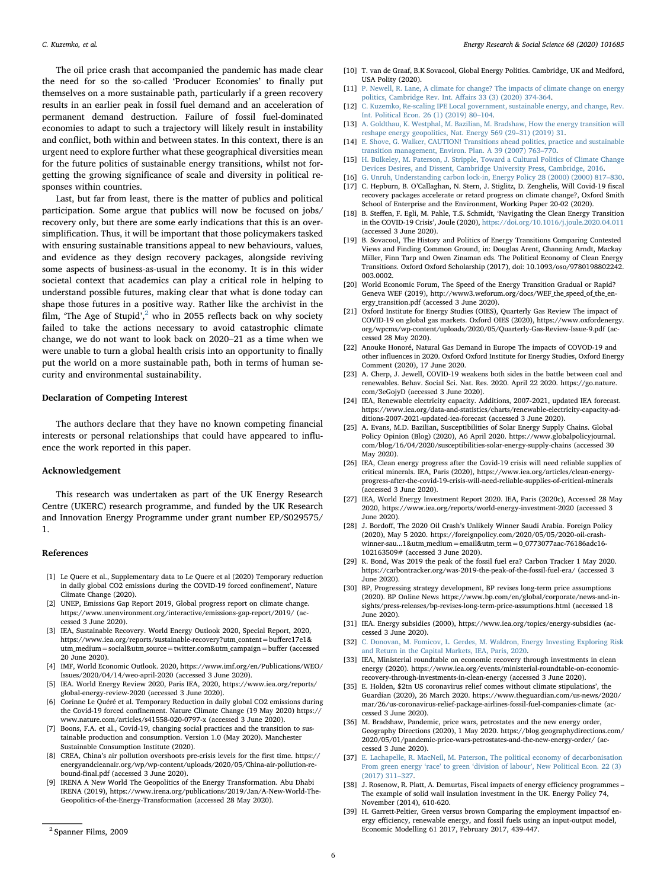The oil price crash that accompanied the pandemic has made clear the need for so the so-called 'Producer Economies' to finally put themselves on a more sustainable path, particularly if a green recovery results in an earlier peak in fossil fuel demand and an acceleration of permanent demand destruction. Failure of fossil fuel-dominated economies to adapt to such a trajectory will likely result in instability and conflict, both within and between states. In this context, there is an urgent need to explore further what these geographical diversities mean for the future politics of sustainable energy transitions, whilst not forgetting the growing significance of scale and diversity in political responses within countries.

Last, but far from least, there is the matter of publics and political participation. Some argue that publics will now be focused on jobs/ recovery only, but there are some early indications that this is an oversimplification. Thus, it will be important that those policymakers tasked with ensuring sustainable transitions appeal to new behaviours, values, and evidence as they design recovery packages, alongside reviving some aspects of business-as-usual in the economy. It is in this wider societal context that academics can play a critical role in helping to understand possible futures, making clear that what is done today can shape those futures in a positive way. Rather like the archivist in the film, 'The Age of Stupid', $^2$  $^2$  who in 2055 reflects back on why society failed to take the actions necessary to avoid catastrophic climate change, we do not want to look back on 2020–21 as a time when we were unable to turn a global health crisis into an opportunity to finally put the world on a more sustainable path, both in terms of human security and environmental sustainability.

#### Declaration of Competing Interest

The authors declare that they have no known competing financial interests or personal relationships that could have appeared to influence the work reported in this paper.

# Acknowledgement

This research was undertaken as part of the UK Energy Research Centre (UKERC) research programme, and funded by the UK Research and Innovation Energy Programme under grant number EP/S029575/ 1.

#### References

- <span id="page-6-0"></span>[1] Le Quere et al., Supplementary data to Le Quere et al (2020) Temporary reduction in daily global CO2 emissions during the COVID-19 forced confinement', Nature Climate Change (2020).
- <span id="page-6-1"></span>[2] UNEP, Emissions Gap Report 2019, Global progress report on climate change. https://www.unenvironment.org/interactive/emissions-gap-report/2019/ (accessed 3 June 2020).
- <span id="page-6-2"></span>[3] IEA, Sustainable Recovery. World Energy Outlook 2020, Special Report, 2020, https://www.iea.org/reports/sustainable-recovery?utm\_content=bufferc17e1& utm\_medium=social&utm\_source=twitter.com&utm\_campaign=buffer (accessed 20 June 2020).
- <span id="page-6-3"></span>[4] IMF, World Economic Outlook. 2020, https://www.imf.org/en/Publications/WEO/ Issues/2020/04/14/weo-april-2020 (accessed 3 June 2020).
- <span id="page-6-4"></span>[5] IEA. World Energy Review 2020, Paris IEA, 2020, https://www.iea.org/reports/ global-energy-review-2020 (accessed 3 June 2020).
- <span id="page-6-5"></span>[6] Corinne Le Quéré et al. Temporary Reduction in daily global CO2 emissions during the Covid-19 forced confinement. Nature Climate Change (19 May 2020) https:// www.nature.com/articles/s41558-020-0797-x (accessed 3 June 2020).
- <span id="page-6-33"></span>[7] Boons, F.A. et al., Covid-19, changing social practices and the transition to sustainable production and consumption. Version 1.0 (May 2020). Manchester Sustainable Consumption Institute (2020).
- <span id="page-6-6"></span>[8] CREA, China's air pollution overshoots pre-crisis levels for the first time. https:// energyandcleanair.org/wp/wp-content/uploads/2020/05/China-air-pollution-rebound-final.pdf (accessed 3 June 2020).
- <span id="page-6-7"></span>[9] IRENA A New World The Geopolitics of the Energy Transformation. Abu Dhabi IRENA (2019), https://www.irena.org/publications/2019/Jan/A-New-World-The-Geopolitics-of-the-Energy-Transformation (accessed 28 May 2020).
- <span id="page-6-8"></span>[10] T. van de Graaf, B.K Sovacool, Global Energy Politics. Cambridge, UK and Medford, USA Polity (2020).
- <span id="page-6-9"></span>[11] [P. Newell, R. Lane, A climate for change? The impacts of climate change on energy](http://refhub.elsevier.com/S2214-6296(20)30260-7/h0055) [politics, Cambridge Rev. Int. A](http://refhub.elsevier.com/S2214-6296(20)30260-7/h0055)ffairs 33 (3) (2020) 374-364.
- <span id="page-6-10"></span>[12] [C. Kuzemko, Re-scaling IPE Local government, sustainable energy, and change, Rev.](http://refhub.elsevier.com/S2214-6296(20)30260-7/h0060) [Int. Political Econ. 26 \(1\) \(2019\) 80](http://refhub.elsevier.com/S2214-6296(20)30260-7/h0060)–104.
- [13] [A. Goldthau, K. Westphal, M. Bazilian, M. Bradshaw, How the energy transition will](http://refhub.elsevier.com/S2214-6296(20)30260-7/h0065) [reshape energy geopolitics, Nat. Energy 569 \(29](http://refhub.elsevier.com/S2214-6296(20)30260-7/h0065)–31) (2019) 31.
- [14] [E. Shove, G. Walker, CAUTION! Transitions ahead politics, practice and sustainable](http://refhub.elsevier.com/S2214-6296(20)30260-7/h0070) [transition management, Environ. Plan. A 39 \(2007\) 763](http://refhub.elsevier.com/S2214-6296(20)30260-7/h0070)–770.
- <span id="page-6-11"></span>[15] [H. Bulkeley, M. Paterson, J. Stripple, Toward a Cultural Politics of Climate Change](http://refhub.elsevier.com/S2214-6296(20)30260-7/h0075) [Devices Desires, and Dissent, Cambridge University Press, Cambridge, 2016.](http://refhub.elsevier.com/S2214-6296(20)30260-7/h0075)
- <span id="page-6-13"></span><span id="page-6-12"></span>[16] [G. Unruh, Understanding carbon lock-in, Energy Policy 28 \(2000\) \(2000\) 817](http://refhub.elsevier.com/S2214-6296(20)30260-7/h0080)–830. [17] C. Hepburn, B. O'Callaghan, N. Stern, J. Stiglitz, D. Zenghelis, Will Covid-19 fiscal recovery packages accelerate or retard progress on climate change?, Oxford Smith
- <span id="page-6-14"></span>School of Enterprise and the Environment, Working Paper 20-02 (2020). [18] B. Steffen, F. Egli, M. Pahle, T.S. Schmidt, 'Navigating the Clean Energy Transition in the COVID-19 Crisis', Joule (2020), <https://doi.org/10.1016/j.joule.2020.04.011> (accessed 3 June 2020).
- <span id="page-6-15"></span>[19] B. Sovacool, The History and Politics of Energy Transitions Comparing Contested Views and Finding Common Ground, in: Douglas Arent, Channing Arndt, Mackay Miller, Finn Tarp and Owen Zinaman eds. The Political Economy of Clean Energy Transitions. Oxford Oxford Scholarship (2017), doi: 10.1093/oso/9780198802242. 003.0002.
- <span id="page-6-16"></span>[20] World Economic Forum, The Speed of the Energy Transition Gradual or Rapid? Geneva WEF (2019), http://www3.weforum.org/docs/WEF\_the\_speed\_of\_the\_energy\_transition.pdf (accessed 3 June 2020).
- <span id="page-6-17"></span>[21] Oxford Institute for Energy Studies (OIES), Quarterly Gas Review The impact of COVID-19 on global gas markets. Oxford OIES (2020), https://www.oxfordenergy. org/wpcms/wp-content/uploads/2020/05/Quarterly-Gas-Review-Issue-9.pdf (accessed 28 May 2020).
- <span id="page-6-18"></span>[22] Anouke Honoré, Natural Gas Demand in Europe The impacts of COVOD-19 and other influences in 2020. Oxford Oxford Institute for Energy Studies, Oxford Energy Comment (2020), 17 June 2020.
- <span id="page-6-19"></span>[23] A. Cherp, J. Jewell, COVID-19 weakens both sides in the battle between coal and renewables. Behav. Social Sci. Nat. Res. 2020. April 22 2020. https://go.nature. com/3eGojyD (accessed 3 June 2020).
- <span id="page-6-20"></span>[24] IEA, Renewable electricity capacity. Additions, 2007-2021, updated IEA forecast. https://www.iea.org/data-and-statistics/charts/renewable-electricity-capacity-additions-2007-2021-updated-iea-forecast (accessed 3 June 2020).
- <span id="page-6-21"></span>[25] A. Evans, M.D. Bazilian, Susceptibilities of Solar Energy Supply Chains. Global Policy Opinion (Blog) (2020), A6 April 2020. https://www.globalpolicyjournal. com/blog/16/04/2020/susceptibilities-solar-energy-supply-chains (accessed 30 May 2020).
- <span id="page-6-22"></span>[26] IEA, Clean energy progress after the Covid-19 crisis will need reliable supplies of critical minerals. IEA, Paris (2020), https://www.iea.org/articles/clean-energyprogress-after-the-covid-19-crisis-will-need-reliable-supplies-of-critical-minerals (accessed 3 June 2020).
- <span id="page-6-23"></span>[27] IEA, World Energy Investment Report 2020. IEA, Paris (2020c), Accessed 28 May 2020, https://www.iea.org/reports/world-energy-investment-2020 (accessed 3 June 2020).
- <span id="page-6-24"></span>[28] J. Bordoff, The 2020 Oil Crash's Unlikely Winner Saudi Arabia. Foreign Policy (2020), May 5 2020. https://foreignpolicy.com/2020/05/05/2020-oil-crashwinner-sau...1&utm\_medium=email&utm\_term=0\_0773077aac-76186adc16- 102163509# (accessed 3 June 2020).
- <span id="page-6-25"></span>[29] K. Bond, Was 2019 the peak of the fossil fuel era? Carbon Tracker 1 May 2020. https://carbontracker.org/was-2019-the-peak-of-the-fossil-fuel-era/ (accessed 3 June 2020).
- <span id="page-6-26"></span>[30] BP, Progressing strategy development, BP revises long-term price assumptions (2020). BP Online News https://www.bp.com/en/global/corporate/news-and-insights/press-releases/bp-revises-long-term-price-assumptions.html (accessed 18 June 2020).
- <span id="page-6-27"></span>[31] IEA. Energy subsidies (2000), https://www.iea.org/topics/energy-subsidies (accessed 3 June 2020).
- <span id="page-6-28"></span>[32] [C. Donovan, M. Fomicov, L. Gerdes, M. Waldron, Energy Investing Exploring Risk](http://refhub.elsevier.com/S2214-6296(20)30260-7/h0160) [and Return in the Capital Markets, IEA, Paris, 2020.](http://refhub.elsevier.com/S2214-6296(20)30260-7/h0160)
- <span id="page-6-29"></span>[33] IEA, Ministerial roundtable on economic recovery through investments in clean energy (2020). https://www.iea.org/events/ministerial-roundtable-on-economicrecovery-through-investments-in-clean-energy (accessed 3 June 2020).
- <span id="page-6-30"></span>[35] E. Holden, \$2tn US coronavirus relief comes without climate stipulations', the Guardian (2020), 26 March 2020. https://www.theguardian.com/us-news/2020/ mar/26/us-coronavirus-relief-package-airlines-fossil-fuel-companies-climate (accessed 3 June 2020).
- [36] M. Bradshaw, Pandemic, price wars, petrostates and the new energy order, Geography Directions (2020), 1 May 2020. https://blog.geographydirections.com/ 2020/05/01/pandemic-price-wars-petrostates-and-the-new-energy-order/ (accessed 3 June 2020).
- <span id="page-6-31"></span>[37] [E. Lachapelle, R. MacNeil, M. Paterson, The political economy of decarbonisation](http://refhub.elsevier.com/S2214-6296(20)30260-7/h0185) From green energy 'race' to green 'division of labour'[, New Political Econ. 22 \(3\)](http://refhub.elsevier.com/S2214-6296(20)30260-7/h0185) [\(2017\) 311](http://refhub.elsevier.com/S2214-6296(20)30260-7/h0185)–327.
- <span id="page-6-32"></span>[38] J. Rosenow, R. Platt, A. Demurtas, Fiscal impacts of energy efficiency programmes – The example of solid wall insulation investment in the UK. Energy Policy 74, November (2014), 610-620.
- [39] H. Garrett-Peltier, Green versus brown Comparing the employment impactsof energy efficiency, renewable energy, and fossil fuels using an input-output model, <sup>2</sup> Economic Modelling 61 2017, February 2017, 439-447. Spanner Films, 2009

<span id="page-6-34"></span>